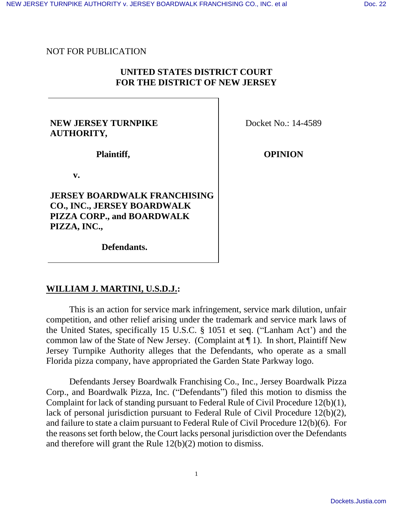## NOT FOR PUBLICATION

# **UNITED STATES DISTRICT COURT FOR THE DISTRICT OF NEW JERSEY**

## **NEW JERSEY TURNPIKE AUTHORITY***,*

Docket No.: 14-4589

**Plaintiff,**

**v.**

**JERSEY BOARDWALK FRANCHISING CO., INC., JERSEY BOARDWALK PIZZA CORP., and BOARDWALK PIZZA, INC.,**

**OPINION**

 **Defendants.**

### **WILLIAM J. MARTINI, U.S.D.J.:**

This is an action for service mark infringement, service mark dilution, unfair competition, and other relief arising under the trademark and service mark laws of the United States, specifically 15 U.S.C. § 1051 et seq. ("Lanham Act') and the common law of the State of New Jersey. (Complaint at ¶ 1). In short, Plaintiff New Jersey Turnpike Authority alleges that the Defendants, who operate as a small Florida pizza company, have appropriated the Garden State Parkway logo.

Defendants Jersey Boardwalk Franchising Co., Inc., Jersey Boardwalk Pizza Corp., and Boardwalk Pizza, Inc. ("Defendants") filed this motion to dismiss the Complaint for lack of standing pursuant to Federal Rule of Civil Procedure 12(b)(1), lack of personal jurisdiction pursuant to Federal Rule of Civil Procedure 12(b)(2), and failure to state a claim pursuant to Federal Rule of Civil Procedure 12(b)(6). For the reasons set forth below, the Court lacks personal jurisdiction over the Defendants and therefore will grant the Rule 12(b)(2) motion to dismiss.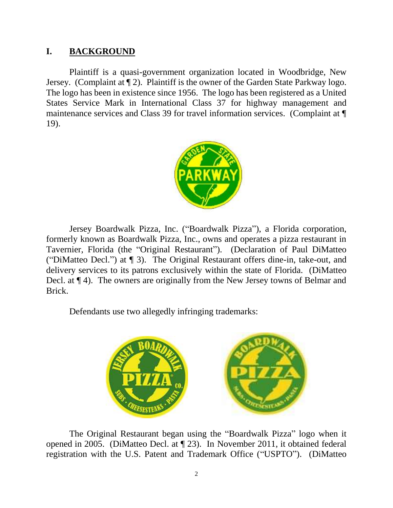# **I. BACKGROUND**

Plaintiff is a quasi-government organization located in Woodbridge, New Jersey. (Complaint at ¶ 2). Plaintiff is the owner of the Garden State Parkway logo. The logo has been in existence since 1956. The logo has been registered as a United States Service Mark in International Class 37 for highway management and maintenance services and Class 39 for travel information services. (Complaint at ¶ 19).



Jersey Boardwalk Pizza, Inc. ("Boardwalk Pizza"), a Florida corporation, formerly known as Boardwalk Pizza, Inc., owns and operates a pizza restaurant in Tavernier, Florida (the "Original Restaurant"). (Declaration of Paul DiMatteo ("DiMatteo Decl.") at ¶ 3). The Original Restaurant offers dine-in, take-out, and delivery services to its patrons exclusively within the state of Florida. (DiMatteo Decl. at ¶ 4). The owners are originally from the New Jersey towns of Belmar and Brick.

Defendants use two allegedly infringing trademarks:



The Original Restaurant began using the "Boardwalk Pizza" logo when it opened in 2005. (DiMatteo Decl. at ¶ 23). In November 2011, it obtained federal registration with the U.S. Patent and Trademark Office ("USPTO"). (DiMatteo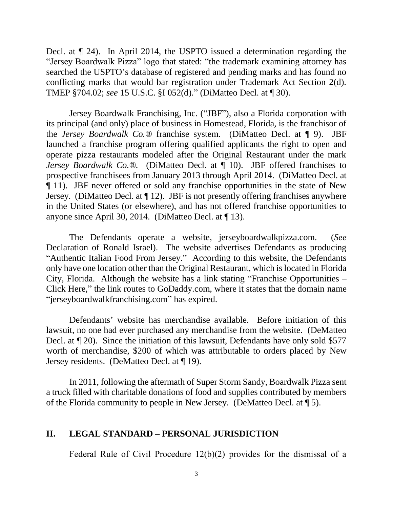Decl. at ¶ 24). In April 2014, the USPTO issued a determination regarding the "Jersey Boardwalk Pizza" logo that stated: "the trademark examining attorney has searched the USPTO's database of registered and pending marks and has found no conflicting marks that would bar registration under Trademark Act Section 2(d). TMEP §704.02; *see* 15 U.S.C. §I 052(d)." (DiMatteo Decl. at ¶ 30).

Jersey Boardwalk Franchising, Inc. ("JBF"), also a Florida corporation with its principal (and only) place of business in Homestead, Florida, is the franchisor of the *Jersey Boardwalk Co.®* franchise system. (DiMatteo Decl. at ¶ 9). JBF launched a franchise program offering qualified applicants the right to open and operate pizza restaurants modeled after the Original Restaurant under the mark *Jersey Boardwalk Co.®.* (DiMatteo Decl. at ¶ 10). JBF offered franchises to prospective franchisees from January 2013 through April 2014. (DiMatteo Decl. at ¶ 11). JBF never offered or sold any franchise opportunities in the state of New Jersey. (DiMatteo Decl. at ¶ 12). JBF is not presently offering franchises anywhere in the United States (or elsewhere), and has not offered franchise opportunities to anyone since April 30, 2014. (DiMatteo Decl. at ¶ 13).

The Defendants operate a website, jerseyboardwalkpizza.com. (*See*  Declaration of Ronald Israel). The website advertises Defendants as producing "Authentic Italian Food From Jersey." According to this website, the Defendants only have one location other than the Original Restaurant, which is located in Florida City, Florida. Although the website has a link stating "Franchise Opportunities – Click Here," the link routes to GoDaddy.com, where it states that the domain name "jerseyboardwalkfranchising.com" has expired.

Defendants' website has merchandise available. Before initiation of this lawsuit, no one had ever purchased any merchandise from the website. (DeMatteo Decl. at ¶ 20). Since the initiation of this lawsuit, Defendants have only sold \$577 worth of merchandise, \$200 of which was attributable to orders placed by New Jersey residents. (DeMatteo Decl. at ¶ 19).

In 2011, following the aftermath of Super Storm Sandy, Boardwalk Pizza sent a truck filled with charitable donations of food and supplies contributed by members of the Florida community to people in New Jersey. (DeMatteo Decl. at ¶ 5).

#### **II. LEGAL STANDARD – PERSONAL JURISDICTION**

Federal Rule of Civil Procedure 12(b)(2) provides for the dismissal of a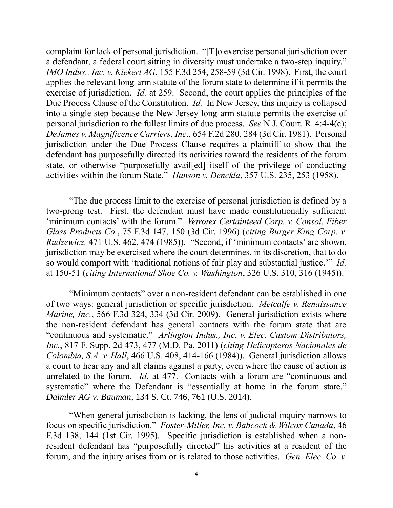complaint for lack of personal jurisdiction. "[T]o exercise personal jurisdiction over a defendant, a federal court sitting in diversity must undertake a two-step inquiry." *IMO Indus., Inc. v. Kiekert AG*, 155 F.3d 254, 258-59 (3d Cir. 1998). First, the court applies the relevant long-arm statute of the forum state to determine if it permits the exercise of jurisdiction. *Id.* at 259. Second, the court applies the principles of the Due Process Clause of the Constitution. *Id.* In New Jersey, this inquiry is collapsed into a single step because the New Jersey long-arm statute permits the exercise of personal jurisdiction to the fullest limits of due process. *See* N.J. Court. R. 4:4-4(c); *DeJames v. Magnificence Carriers*, *Inc*., 654 F.2d 280, 284 (3d Cir. 1981). Personal jurisdiction under the Due Process Clause requires a plaintiff to show that the defendant has purposefully directed its activities toward the residents of the forum state, or otherwise "purposefully avail[ed] itself of the privilege of conducting activities within the forum State." *Hanson v. Denckla*, 357 U.S. 235, 253 (1958).

"The due process limit to the exercise of personal jurisdiction is defined by a two-prong test. First, the defendant must have made constitutionally sufficient 'minimum contacts' with the forum." *Vetrotex Certainteed Corp. v. Consol. Fiber Glass Products Co.*, 75 F.3d 147, 150 (3d Cir. 1996) (*citing Burger King Corp. v. Rudzewicz,* 471 U.S. 462, 474 (1985)). "Second, if 'minimum contacts' are shown, jurisdiction may be exercised where the court determines, in its discretion, that to do so would comport with 'traditional notions of fair play and substantial justice.'" *Id.*  at 150-51 (*citing International Shoe Co. v. Washington*, 326 U.S. 310, 316 (1945)).

"Minimum contacts" over a non-resident defendant can be established in one of two ways: general jurisdiction or specific jurisdiction. *Metcalfe v. Renaissance Marine, Inc.*, 566 F.3d 324, 334 (3d Cir. 2009). General jurisdiction exists where the non-resident defendant has general contacts with the forum state that are "continuous and systematic." *Arlington Indus., Inc. v. Elec. Custom Distributors, Inc.*, 817 F. Supp. 2d 473, 477 (M.D. Pa. 2011) (*citing Helicopteros Nacionales de Colombia, S.A. v. Hall*, 466 U.S. 408, 414-166 (1984)). General jurisdiction allows a court to hear any and all claims against a party, even where the cause of action is unrelated to the forum. *Id.* at 477. Contacts with a forum are "continuous and systematic" where the Defendant is "essentially at home in the forum state." *Daimler AG v. Bauman*, 134 S. Ct. 746, 761 (U.S. 2014).

"When general jurisdiction is lacking, the lens of judicial inquiry narrows to focus on specific jurisdiction." *Foster-Miller, Inc. v. Babcock & Wilcox Canada*, 46 F.3d 138, 144 (1st Cir. 1995). Specific jurisdiction is established when a nonresident defendant has "purposefully directed" his activities at a resident of the forum, and the injury arises from or is related to those activities. *Gen. Elec. Co. v.*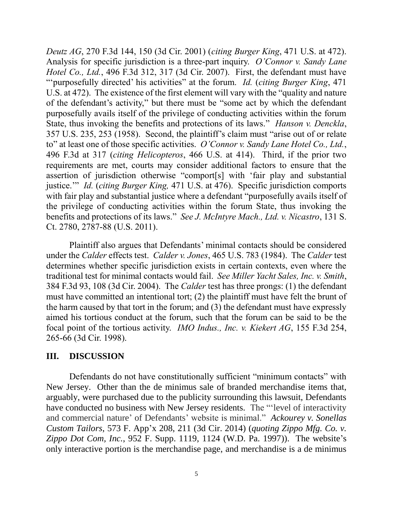*Deutz AG*, 270 F.3d 144, 150 (3d Cir. 2001) (*citing Burger King*, 471 U.S. at 472). Analysis for specific jurisdiction is a three-part inquiry. *O'Connor v. Sandy Lane Hotel Co., Ltd.*, 496 F.3d 312, 317 (3d Cir. 2007). First, the defendant must have "'purposefully directed' his activities" at the forum. *Id.* (*citing Burger King*, 471 U.S. at 472). The existence of the first element will vary with the "quality and nature of the defendant's activity," but there must be "some act by which the defendant purposefully avails itself of the privilege of conducting activities within the forum State, thus invoking the benefits and protections of its laws." *Hanson v. Denckla*, 357 U.S. 235, 253 (1958). Second, the plaintiff's claim must "arise out of or relate to" at least one of those specific activities. *O'Connor v. Sandy Lane Hotel Co., Ltd.*, 496 F.3d at 317 (*citing Helicopteros*, 466 U.S. at 414). Third, if the prior two requirements are met, courts may consider additional factors to ensure that the assertion of jurisdiction otherwise "comport[s] with 'fair play and substantial justice.'" *Id.* (*citing Burger King,* 471 U.S. at 476). Specific jurisdiction comports with fair play and substantial justice where a defendant "purposefully avails itself of the privilege of conducting activities within the forum State, thus invoking the benefits and protections of its laws." *See J. McIntyre Mach., Ltd. v. Nicastro*, 131 S. Ct. 2780, 2787-88 (U.S. 2011).

Plaintiff also argues that Defendants' minimal contacts should be considered under the *Calder* effects test. *Calder v. Jones*, 465 U.S. 783 (1984). The *Calder* test determines whether specific jurisdiction exists in certain contexts, even where the traditional test for minimal contacts would fail. *See Miller Yacht Sales, Inc. v. Smith*, 384 F.3d 93, 108 (3d Cir. 2004). The *Calder* test has three prongs: (1) the defendant must have committed an intentional tort; (2) the plaintiff must have felt the brunt of the harm caused by that tort in the forum; and (3) the defendant must have expressly aimed his tortious conduct at the forum, such that the forum can be said to be the focal point of the tortious activity. *IMO Indus., Inc. v. Kiekert AG*, 155 F.3d 254, 265-66 (3d Cir. 1998).

# **III. DISCUSSION**

Defendants do not have constitutionally sufficient "minimum contacts" with New Jersey. Other than the de minimus sale of branded merchandise items that, arguably, were purchased due to the publicity surrounding this lawsuit, Defendants have conducted no business with New Jersey residents. The "'level of interactivity and commercial nature' of Defendants' website is minimal." *Ackourey v. Sonellas Custom Tailors*, 573 F. App'x 208, 211 (3d Cir. 2014) (*quoting Zippo Mfg. Co. v. Zippo Dot Com, Inc.*, 952 F. Supp. 1119, 1124 (W.D. Pa. 1997)). The website's only interactive portion is the merchandise page, and merchandise is a de minimus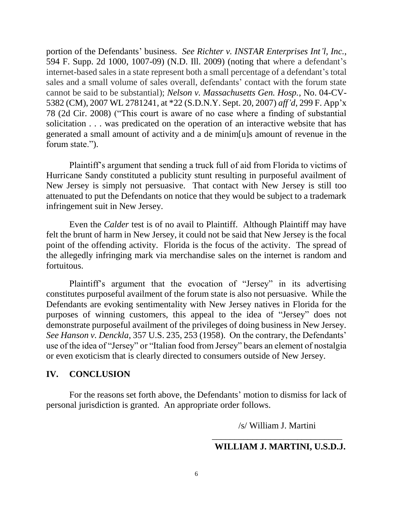portion of the Defendants' business. *See Richter v. INSTAR Enterprises Int'l, Inc.*, 594 F. Supp. 2d 1000, 1007-09) (N.D. Ill. 2009) (noting that where a defendant's internet-based sales in a state represent both a small percentage of a defendant's total sales and a small volume of sales overall, defendants' contact with the forum state cannot be said to be substantial); *Nelson v. Massachusetts Gen. Hosp.*, No. 04-CV-5382 (CM), 2007 WL 2781241, at \*22 (S.D.N.Y. Sept. 20, 2007) *aff'd*, 299 F. App'x 78 (2d Cir. 2008) ("This court is aware of no case where a finding of substantial solicitation . . . was predicated on the operation of an interactive website that has generated a small amount of activity and a de minim[u]s amount of revenue in the forum state.").

Plaintiff's argument that sending a truck full of aid from Florida to victims of Hurricane Sandy constituted a publicity stunt resulting in purposeful availment of New Jersey is simply not persuasive. That contact with New Jersey is still too attenuated to put the Defendants on notice that they would be subject to a trademark infringement suit in New Jersey.

Even the *Calder* test is of no avail to Plaintiff. Although Plaintiff may have felt the brunt of harm in New Jersey, it could not be said that New Jersey is the focal point of the offending activity. Florida is the focus of the activity. The spread of the allegedly infringing mark via merchandise sales on the internet is random and fortuitous.

Plaintiff's argument that the evocation of "Jersey" in its advertising constitutes purposeful availment of the forum state is also not persuasive. While the Defendants are evoking sentimentality with New Jersey natives in Florida for the purposes of winning customers, this appeal to the idea of "Jersey" does not demonstrate purposeful availment of the privileges of doing business in New Jersey. *See Hanson v. Denckla*, 357 U.S. 235, 253 (1958). On the contrary, the Defendants' use of the idea of "Jersey" or "Italian food from Jersey" bears an element of nostalgia or even exoticism that is clearly directed to consumers outside of New Jersey.

# **IV. CONCLUSION**

For the reasons set forth above, the Defendants' motion to dismiss for lack of personal jurisdiction is granted. An appropriate order follows.

/s/ William J. Martini

## \_\_\_\_\_\_\_\_\_\_\_\_\_\_\_\_\_\_\_\_\_\_\_\_\_\_\_\_\_  **WILLIAM J. MARTINI, U.S.D.J.**